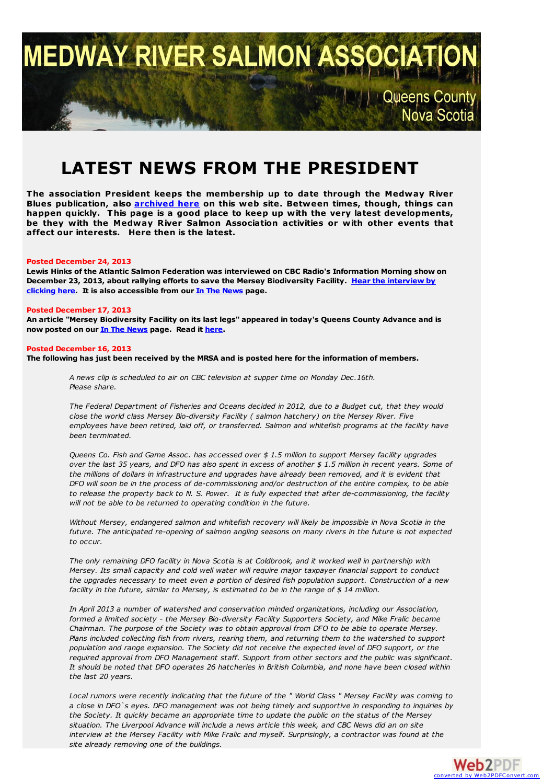# **MEDWAY RIVER SALMON A Queens County** Nova Scotia

## **LATEST NEWS FROM THE PRESIDENT**

**The association President keeps the membership up to date through the Medway River Blues publication, also [archived](http://medwayriversalmonassociation.org/archives/archives.html) here on this web site. Between times, though, things can happen quickly. This page is a good place to keep up with the very latest developments, be they with the Medway River Salmon Association activities or with other events that affect our interests. Here then is the latest.**

#### **Posted December 24, 2013**

**Lewis Hinks of the Atlantic Salmon Federation was interviewed on CBC Radio's Information Morning show on December 23, 2013, about rallying efforts to save the Mersey [Biodiversity](http://medwayriversalmonassociation.org/news/MerseyAudio.mp3) Facility. Hear the interview by clicking here. It is also accessible from our In The [News](http://medwayriversalmonassociation.org/news/inthenews.html) page.**

#### **Posted December 17, 2013**

An article "Mersey Biodiversity Facility on its last legs" appeared in today's Queens County Advance and is **now posted on our In The [News](http://medwayriversalmonassociation.org/news/inthenews.html) page. Read it [here](http://medwayriversalmonassociation.org/news/MerseyBidiversityFacility.pdf).**

#### **Posted December 16, 2013**

The following has just been received by the MRSA and is posted here for the information of members.

*A news clip is scheduled to air on CBC television at supper time on Monday Dec.16th. Please share.*

The Federal Department of Fisheries and Oceans decided in 2012, due to a Budget cut, that they would *close the world class Mersey Bio-diversity Facility ( salmon hatchery) on the Mersey River. Five employees have been retired, laid off, or transferred. Salmon and whitefish programs at the facility have been terminated.*

*Queens Co. Fish and Game Assoc. has accessed over \$ 1.5 million to support Mersey facility upgrades* over the last 35 years, and DFO has also spent in excess of another \$1.5 million in recent years. Some of *the millions of dollars in infrastructure and upgrades have already been removed, and it is evident that* DFO will soon be in the process of de-commissioning and/or destruction of the entire complex, to be able to release the property back to N. S. Power. It is fully expected that after de-commissioning, the facility *will not be able to be returned to operating condition in the future.*

*Without Mersey, endangered salmon and whitefish recovery will likely be impossible in Nova Scotia in the future. The anticipated re-opening of salmon angling seasons on many rivers in the future is not expected to occur.*

The only remaining DFO facility in Nova Scotia is at Coldbrook, and it worked well in partnership with *Mersey. Its small capacity and cold well water will require major taxpayer financial support to conduct the upgrades necessary to meet even a portion of desired fish population support. Construction of a new facility in the future, similar to Mersey, is estimated to be in the range of \$ 14 million.*

*In April 2013 a number of watershed and conservation minded organizations, including our Association, formed a limited society - the Mersey Bio-diversity Facility Supporters Society, and Mike Fralic became Chairman. The purpose of the Society was to obtain approval from DFO to be able to operate Mersey. Plans included collecting fish from rivers, rearing them, and returning them to the watershed to support population and range expansion. The Society did not receive the expected level of DFO support, or the required approval from DFO Management staff. Support from other sectors and the public was significant.* It should be noted that DFO operates 26 hatcheries in British Columbia, and none have been closed within *the last 20 years.*

Local rumors were recently indicating that the future of the " World Class " Mersey Facility was coming to a close in DFO's eyes. DFO management was not being timely and supportive in responding to inquiries by the Society. It quickly became an appropriate time to update the public on the status of the Mersey situation. The Liverpool Advance will include a news article this week, and CBC News did an on site *interview at the Mersey Facility with Mike Fralic and myself. Surprisingly, a contractor was found at the site already removing one of the buildings.*

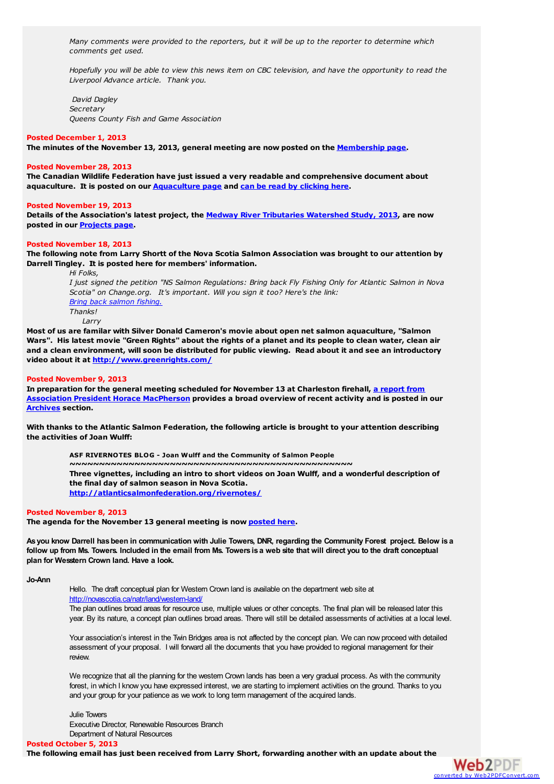*Many comments were provided to the reporters, but it will be up to the reporter to determine which comments get used.*

Hopefully you will be able to view this news item on CBC television, and have the opportunity to read the *Liverpool Advance article. Thank you.*

*David Dagley Secretary Queens County Fish and Game Association*

#### **Posted December 1, 2013**

**The minutes of the November 13, 2013, general meeting are now posted on the [Membership](http://medwayriversalmonassociation.org/membership/membership.html) page.**

#### **Posted November 28, 2013**

**The Canadian Wildlife Federation have just issued a very readable and comprehensive document about aquaculture. It is posted on our [Aquaculture](http://medwayriversalmonassociation.org/aquaculture/aquaculture.html) page and can be read by [clicking](http://medwayriversalmonassociation.org/aquaculture/CWF_Aquaculture_Manual_2013.pdf) here.**

#### **Posted November 19, 2013**

**Details of the Association's latest project, the Medway River Tributaries [Watershed](http://medwayriversalmonassociation.org/projects/Tributaries/tributaries.html) Study, 2013, are now posted in our [Projects](http://medwayriversalmonassociation.org/projects/projects.html) page.**

#### **Posted November 18, 2013**

The following note from Larry Shortt of the Nova Scotia Salmon Association was brought to our attention by **Darrell Tingley. It is posted here for members' information.**

*Hi Folks,* I just signed the petition "NS Salmon Regulations: Bring back Fly Fishing Only for Atlantic Salmon in Nova *Scotia" on Change.org. It's important. Will you sign it too? Here's the link: Bring back [salmon](http://www.change.org/en-CA/petitions/ns-salmon-regulations-bring-back-fly-fishing-only-for-atlantic-salmon-in-nova-scotia?share_id=btmcIcLutn&utm_campaign=signature_receipt&utm_medium=email&utm_source=share_petition) fishing. Thanks! Larry*

**Most of us are familar with Silver Donald Cameron's movie about open net salmon aquaculture, "Salmon** Wars". His latest movie "Green Rights" about the rights of a planet and its people to clean water, clean air and a clean environment, will soon be distributed for public viewing. Read about it and see an introductory **video about it at <http://www.greenrights.com/>**

#### **Posted November 9, 2013**

**In [preparation](http://medwayriversalmonassociation.org/archives/PresReportNovember2013.pdf) for the general meeting scheduled for November 13 at Charleston firehall, a report from Association President Horace MacPherson provides a broad overview of recent activity and is posted in our [Archives](http://medwayriversalmonassociation.org/archives/archives.html) section.**

**With thanks to the Atlantic Salmon Federation, the following article is brought to your attention describing the activities of Joan Wulff:**

> **ASF RIVERNOTES BLOG - Joan Wulff and the Community of Salmon People ~~~~~~~~~~~~~~~~~~~~~~~~~~~~~~~~~~~~~~~~~~~~~~~~ Three vignettes, including an intro to short videos on Joan Wulff, and a wonderful description of the final day of salmon season in Nova Scotia. [http://atlanticsalmonfederation.org/rivernotes/](http://r20.rs6.net/tn.jsp?e=001-eZ-mcZGMZ_Ts9ln9ee-QrvnBh5uAjZwlgYp9G9Jz3CHD3cWFkpEA9__CPtmnujFXE9FTbuefUoAU49NTLJ0fzdHuOuPWbnBmu2Smjs0350sWc0UiQya-MK2i_IHcnB8LLOGINF7B7PTpynx09ppag==)**

#### **Posted November 8, 2013**

**The agenda for the November 13 general meeting is now [posted](http://medwayriversalmonassociation.org/mrsa_agenda_nov_2013-1.pdf) here.**

As you know Darrell has been in communication with Julie Towers, DNR, regarding the Community Forest project. Below is a follow up from Ms. Towers. Included in the email from Ms. Towers is a web site that will direct you to the draft conceptual **plan for Wesstern Crown land. Have a look.**

**Jo-Ann**

Hello. The draft conceptual plan for Western Crown land is available on the department web site at <http://novascotia.ca/natr/land/western-land/>

The plan outlines broad areas for resource use, multiple values or other concepts. The final plan will be released later this year. By its nature, a concept plan outlines broad areas. There will still be detailed assessments of activities at a local level.

Your association's interest in the Twin Bridges area is not affected by the concept plan. We can now proceed with detailed assessment of your proposal. I will forward all the documents that you have provided to regional management for their review.

We recognize that all the planning for the western Crown lands has been a very gradual process. As with the community forest, in which I know you have expressed interest, we are starting to implement activities on the ground. Thanks to you and your group for your patience as we work to long term management of the acquired lands.

Julie Towers Executive Director, Renewable Resources Branch Department of Natural Resources

**Posted October 5, 2013**

**The following email has just been received from Larry Short, forwarding another with an update about the**

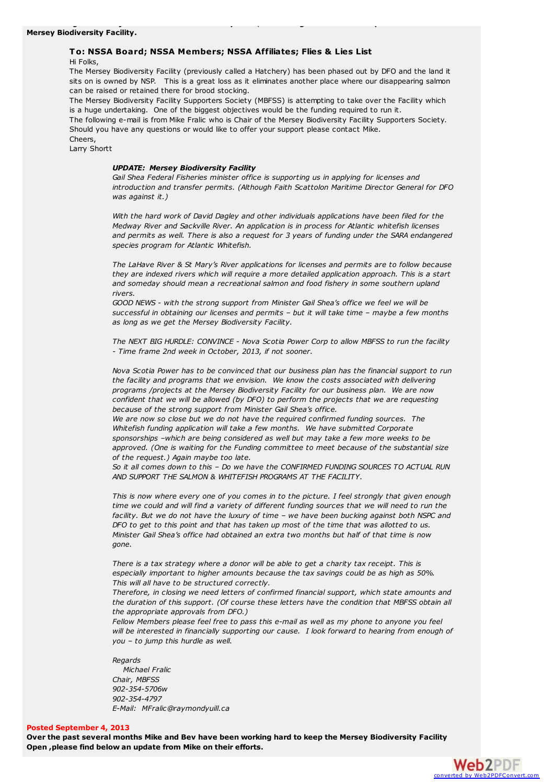#### **To: NSSA Board; NSSA Members; NSSA Affiliates; Flies & Lies List**

**The following email has just been received from Larry Short, forwarding another with an update about the**

Hi Folks,

The Mersey Biodiversity Facility (previously called a Hatchery) has been phased out by DFO and the land it sits on is owned by NSP. This is a great loss as it eliminates another place where our disappearing salmon can be raised or retained there for brood stocking.

The Mersey Biodiversity Facility Supporters Society (MBFSS) is attempting to take over the Facility which is a huge undertaking. One of the biggest objectives would be the funding required to run it.

The following e-mail is from Mike Fralic who is Chair of the Mersey Biodiversity Facility Supporters Society. Should you have any questions or would like to offer your support please contact Mike. Cheers,

Larry Shortt

#### *UPDATE: Mersey Biodiversity Facility*

*Gail Shea Federal Fisheries minister office is supporting us in applying for licenses and introduction and transfer permits. (Although Faith Scattolon Maritime Director General for DFO was against it.)*

*With the hard work of David Dagley and other individuals applications have been filed for the Medway River and Sackville River. An application is in process for Atlantic whitefish licenses and permits as well. There is also a request for 3 years of funding under the SARA endangered species program for Atlantic Whitefish.*

*The LaHave River & St Mary's River applications for licenses and permits are to follow because they are indexed rivers which will require a more detailed application approach. This is a start and someday should mean a recreational salmon and food fishery in some southern upland rivers.*

*GOOD NEWS - with the strong support from Minister Gail Shea's office we feel we will be successful in obtaining our licenses and permits – but it will take time – maybe a few months as long as we get the Mersey Biodiversity Facility.*

*The NEXT BIG HURDLE: CONVINCE - Nova Scotia Power Corp to allow MBFSS to run the facility - Time frame 2nd week in October, 2013, if not sooner.*

*Nova Scotia Power has to be convinced that our business plan has the financial support to run the facility and programs that we envision. We know the costs associated with delivering programs /projects at the Mersey Biodiversity Facility for our business plan. We are now confident that we will be allowed (by DFO) to perform the projects that we are requesting because of the strong support from Minister Gail Shea's office.*

*We are now so close but we do not have the required confirmed funding sources. The Whitefish funding application will take a few months. We have submitted Corporate sponsorships –which are being considered as well but may take a few more weeks to be approved. (One is waiting for the Funding committee to meet because of the substantial size of the request.) Again maybe too late.*

*So it all comes down to this – Do we have the CONFIRMED FUNDING SOURCES TO ACTUAL RUN AND SUPPORT THE SALMON & WHITEFISH PROGRAMS AT THE FACILITY.*

This is now where every one of you comes in to the picture. I feel strongly that given enough time we could and will find a variety of different funding sources that we will need to run the facility. But we do not have the luxury of time - we have been bucking against both NSPC and DFO to get to this point and that has taken up most of the time that was allotted to us. *Minister Gail Shea's office had obtained an extra two months but half of that time is now gone.*

*There is a tax strategy where a donor will be able to get a charity tax receipt. This is especially important to higher amounts because the tax savings could be as high as 50%. This will all have to be structured correctly.*

*Therefore, in closing we need letters of confirmed financial support, which state amounts and the duration of this support. (Of course these letters have the condition that MBFSS obtain all the appropriate approvals from DFO.)*

*Fellow Members please feel free to pass this e-mail as well as my phone to anyone you feel will be interested in financially supporting our cause. I look forward to hearing from enough of you – to jump this hurdle as well.*

#### *Regards*

*Michael Fralic Chair, MBFSS 902-354-5706w 902-354-4797 E-Mail: MFralic@raymondyuill.ca*

#### **Posted September 4, 2013**

Over the past several months Mike and Bev have been working hard to keep the Mersey Biodiversity Facility **Open ,please find below an update from Mike on their efforts.**

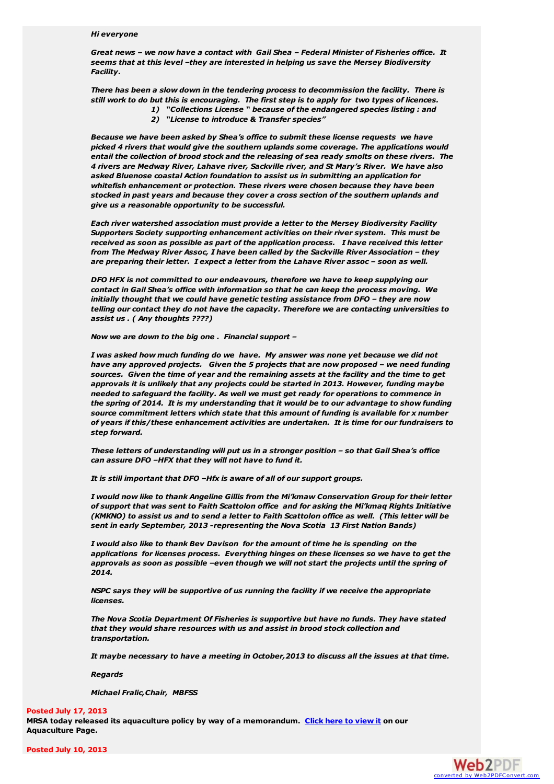#### *Hi everyone*

*Great news – we now have a contact with Gail Shea – Federal Minister of Fisheries office. It seems that at this level –they are interested in helping us save the Mersey Biodiversity Facility.*

*There has been a slow down in the tendering process to decommission the facility. There is* still work to do but this is encouraging. The first step is to apply for two types of licences.

- *1) "Collections License " because of the endangered species listing : and*
	- *2) "License to introduce & Transfer species"*

*Because we have been asked by Shea's office to submit these license requests we have picked 4 rivers that would give the southern uplands some coverage. The applications would entail the collection of brood stock and the releasing of sea ready smolts on these rivers. The 4 rivers are Medway River, Lahave river, Sackville river, and St Mary's River. We have also asked Bluenose coastal Action foundation to assist us in submitting an application for whitefish enhancement or protection. These rivers were chosen because they have been stocked in past years and because they cover a cross section of the southern uplands and give us a reasonable opportunity to be successful.*

*Each river watershed association must provide a letter to the Mersey Biodiversity Facility Supporters Society supporting enhancement activities on their river system. This must be received as soon as possible as part of the application process. I have received this letter from The Medway River Assoc, I have been called by the Sackville River Association – they are preparing their letter. I expect a letter from the Lahave River assoc – soon as well.*

*DFO HFX is not committed to our endeavours, therefore we have to keep supplying our contact in Gail Shea's office with information so that he can keep the process moving. We initially thought that we could have genetic testing assistance from DFO – they are now telling our contact they do not have the capacity. Therefore we are contacting universities to assist us . ( Any thoughts ????)*

*Now we are down to the big one . Financial support –*

*I was asked how much funding do we have. My answer was none yet because we did not have any approved projects. Given the 5 projects that are now proposed – we need funding sources. Given the time of year and the remaining assets at the facility and the time to get approvals it is unlikely that any projects could be started in 2013. However, funding maybe needed to safeguard the facility. As well we must get ready for operations to commence in the spring of 2014. It is my understanding that it would be to our advantage to show funding source commitment letters which state that this amount of funding is available for x number of years if this/these enhancement activities are undertaken. It is time for our fundraisers to step forward.*

*These letters of understanding will put us in a stronger position – so that Gail Shea's office can assure DFO –HFX that they will not have to fund it.*

*It is still important that DFO –Hfx is aware of all of our support groups.*

*I would now like to thank Angeline Gillis from the Mi'kmaw Conservation Group for their letter of support that was sent to Faith Scattolon office and for asking the Mi'kmaq Rights Initiative* (KMKNO) to assist us and to send a letter to Faith Scattolon office as well. (This letter will be *sent in early September, 2013 -representing the Nova Scotia 13 First Nation Bands)*

*I would also like to thank Bev Davison for the amount of time he is spending on the applications for licenses process. Everything hinges on these licenses so we have to get the approvals as soon as possible –even though we will not start the projects until the spring of 2014.*

*NSPC says they will be supportive of us running the facility if we receive the appropriate licenses.*

*The Nova Scotia Department Of Fisheries is supportive but have no funds. They have stated that they would share resources with us and assist in brood stock collection and transportation.*

*It maybe necessary to have a meeting in October,2013 to discuss all the issues at that time.*

*Regards*

*Michael Fralic,Chair, MBFSS*

#### **Posted July 17, 2013**

**MRSA today released its aquaculture policy by way of a memorandum. Click here to [view](http://medwayriversalmonassociation.org/aquaculture/aquaculture.html#policy) it on our Aquaculture Page.**